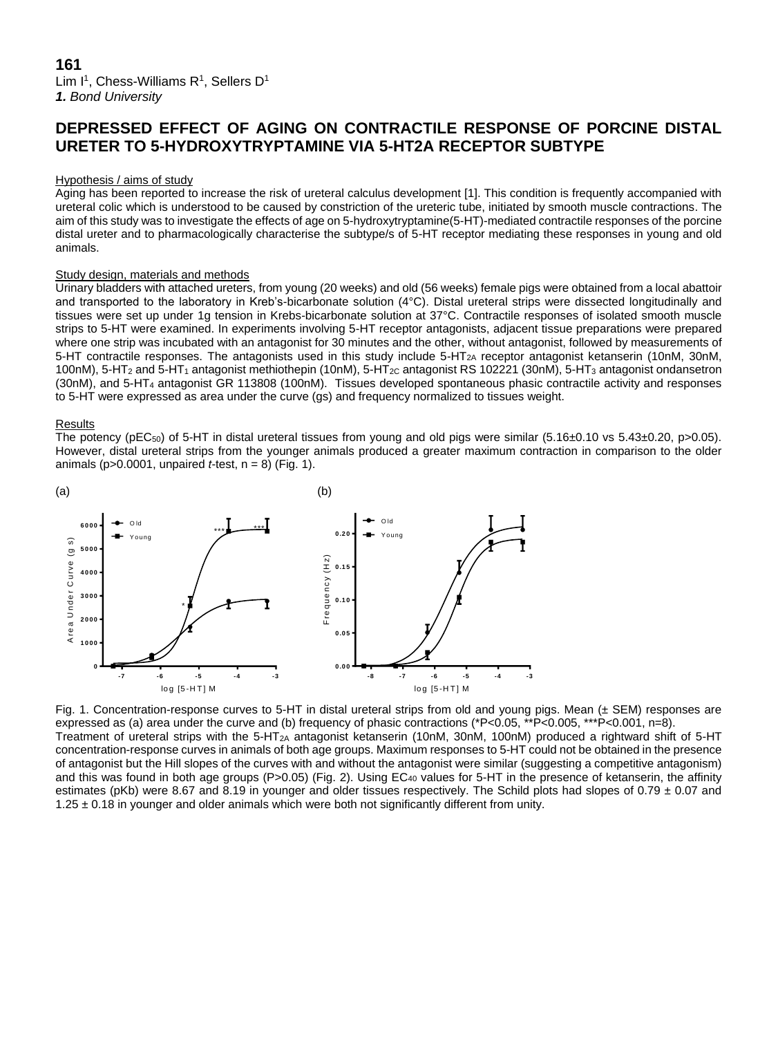# **DEPRESSED EFFECT OF AGING ON CONTRACTILE RESPONSE OF PORCINE DISTAL URETER TO 5-HYDROXYTRYPTAMINE VIA 5-HT2A RECEPTOR SUBTYPE**

# Hypothesis / aims of study

Aging has been reported to increase the risk of ureteral calculus development [1]. This condition is frequently accompanied with ureteral colic which is understood to be caused by constriction of the ureteric tube, initiated by smooth muscle contractions. The aim of this study was to investigate the effects of age on 5-hydroxytryptamine(5-HT)-mediated contractile responses of the porcine distal ureter and to pharmacologically characterise the subtype/s of 5-HT receptor mediating these responses in young and old animals.

#### Study design, materials and methods

Urinary bladders with attached ureters, from young (20 weeks) and old (56 weeks) female pigs were obtained from a local abattoir and transported to the laboratory in Kreb's-bicarbonate solution (4°C). Distal ureteral strips were dissected longitudinally and tissues were set up under 1g tension in Krebs-bicarbonate solution at 37°C. Contractile responses of isolated smooth muscle strips to 5-HT were examined. In experiments involving 5-HT receptor antagonists, adjacent tissue preparations were prepared where one strip was incubated with an antagonist for 30 minutes and the other, without antagonist, followed by measurements of 5-HT contractile responses. The antagonists used in this study include 5-HT2A receptor antagonist ketanserin (10nM, 30nM, 100nM), 5-HT<sub>2</sub> and 5-HT<sub>1</sub> antagonist methiothepin (10nM), 5-HT<sub>2C</sub> antagonist RS 102221 (30nM), 5-HT<sub>3</sub> antagonist ondansetron (30nM), and 5-HT<sup>4</sup> antagonist GR 113808 (100nM). Tissues developed spontaneous phasic contractile activity and responses to 5-HT were expressed as area under the curve (gs) and frequency normalized to tissues weight.

#### Results

The potency (pEC<sub>50</sub>) of 5-HT in distal ureteral tissues from young and old pigs were similar (5.16±0.10 vs 5.43±0.20, p>0.05). However, distal ureteral strips from the younger animals produced a greater maximum contraction in comparison to the older animals ( $p > 0.0001$ , unpaired *t*-test,  $n = 8$ ) (Fig. 1).



Fig. 1. Concentration-response curves to 5-HT in distal ureteral strips from old and young pigs. Mean  $(\pm$  SEM) responses are expressed as (a) area under the curve and (b) frequency of phasic contractions (\*P<0.05, \*\*P<0.005, \*\*\*P<0.001, n=8). Treatment of ureteral strips with the  $5-HT_{2A}$  antagonist ketanserin (10nM, 30nM, 100nM) produced a rightward shift of 5-HT concentration-response curves in animals of both age groups. Maximum responses to 5-HT could not be obtained in the presence

of antagonist but the Hill slopes of the curves with and without the antagonist were similar (suggesting a competitive antagonism) and this was found in both age groups (P>0.05) (Fig. 2). Using EC<sub>40</sub> values for 5-HT in the presence of ketanserin, the affinity estimates (pKb) were 8.67 and 8.19 in younger and older tissues respectively. The Schild plots had slopes of 0.79  $\pm$  0.07 and  $1.25 \pm 0.18$  in younger and older animals which were both not significantly different from unity.